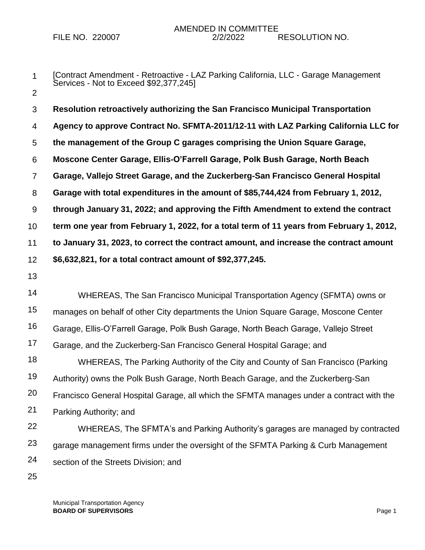- 1 2 [Contract Amendment - Retroactive - LAZ Parking California, LLC - Garage Management Services - Not to Exceed \$92,377,245]
- 3 4 5 6 7 8 9 10 11 12 **Resolution retroactively authorizing the San Francisco Municipal Transportation Agency to approve Contract No. SFMTA-2011/12-11 with LAZ Parking California LLC for the management of the Group C garages comprising the Union Square Garage, Moscone Center Garage, Ellis-O'Farrell Garage, Polk Bush Garage, North Beach Garage, Vallejo Street Garage, and the Zuckerberg-San Francisco General Hospital Garage with total expenditures in the amount of \$85,744,424 from February 1, 2012, through January 31, 2022; and approving the Fifth Amendment to extend the contract term one year from February 1, 2022, for a total term of 11 years from February 1, 2012, to January 31, 2023, to correct the contract amount, and increase the contract amount \$6,632,821, for a total contract amount of \$92,377,245.**
- 13

14 15 16 17 18 19 20 21 22 23 WHEREAS, The San Francisco Municipal Transportation Agency (SFMTA) owns or manages on behalf of other City departments the Union Square Garage, Moscone Center Garage, Ellis-O'Farrell Garage, Polk Bush Garage, North Beach Garage, Vallejo Street Garage, and the Zuckerberg-San Francisco General Hospital Garage; and WHEREAS, The Parking Authority of the City and County of San Francisco (Parking Authority) owns the Polk Bush Garage, North Beach Garage, and the Zuckerberg-San Francisco General Hospital Garage, all which the SFMTA manages under a contract with the Parking Authority; and WHEREAS, The SFMTA's and Parking Authority's garages are managed by contracted garage management firms under the oversight of the SFMTA Parking & Curb Management

25

24

section of the Streets Division; and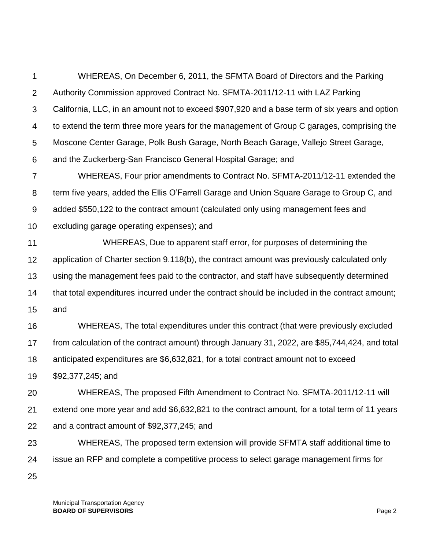1 2 3 4 5 6 7 8 9 10 11 12 13 14 15 16 17 18 19 20 21 22 23 24 25 WHEREAS, On December 6, 2011, the SFMTA Board of Directors and the Parking Authority Commission approved Contract No. SFMTA-2011/12-11 with LAZ Parking California, LLC, in an amount not to exceed \$907,920 and a base term of six years and option to extend the term three more years for the management of Group C garages, comprising the Moscone Center Garage, Polk Bush Garage, North Beach Garage, Vallejo Street Garage, and the Zuckerberg-San Francisco General Hospital Garage; and WHEREAS, Four prior amendments to Contract No. SFMTA-2011/12-11 extended the term five years, added the Ellis O'Farrell Garage and Union Square Garage to Group C, and added \$550,122 to the contract amount (calculated only using management fees and excluding garage operating expenses); and WHEREAS, Due to apparent staff error, for purposes of determining the application of Charter section 9.118(b), the contract amount was previously calculated only using the management fees paid to the contractor, and staff have subsequently determined that total expenditures incurred under the contract should be included in the contract amount; and WHEREAS, The total expenditures under this contract (that were previously excluded from calculation of the contract amount) through January 31, 2022, are \$85,744,424, and total anticipated expenditures are \$6,632,821, for a total contract amount not to exceed \$92,377,245; and WHEREAS, The proposed Fifth Amendment to Contract No. SFMTA-2011/12-11 will extend one more year and add \$6,632,821 to the contract amount, for a total term of 11 years and a contract amount of \$92,377,245; and WHEREAS, The proposed term extension will provide SFMTA staff additional time to issue an RFP and complete a competitive process to select garage management firms for

Municipal Transportation Agency **BOARD OF SUPERVISORS** Page 2